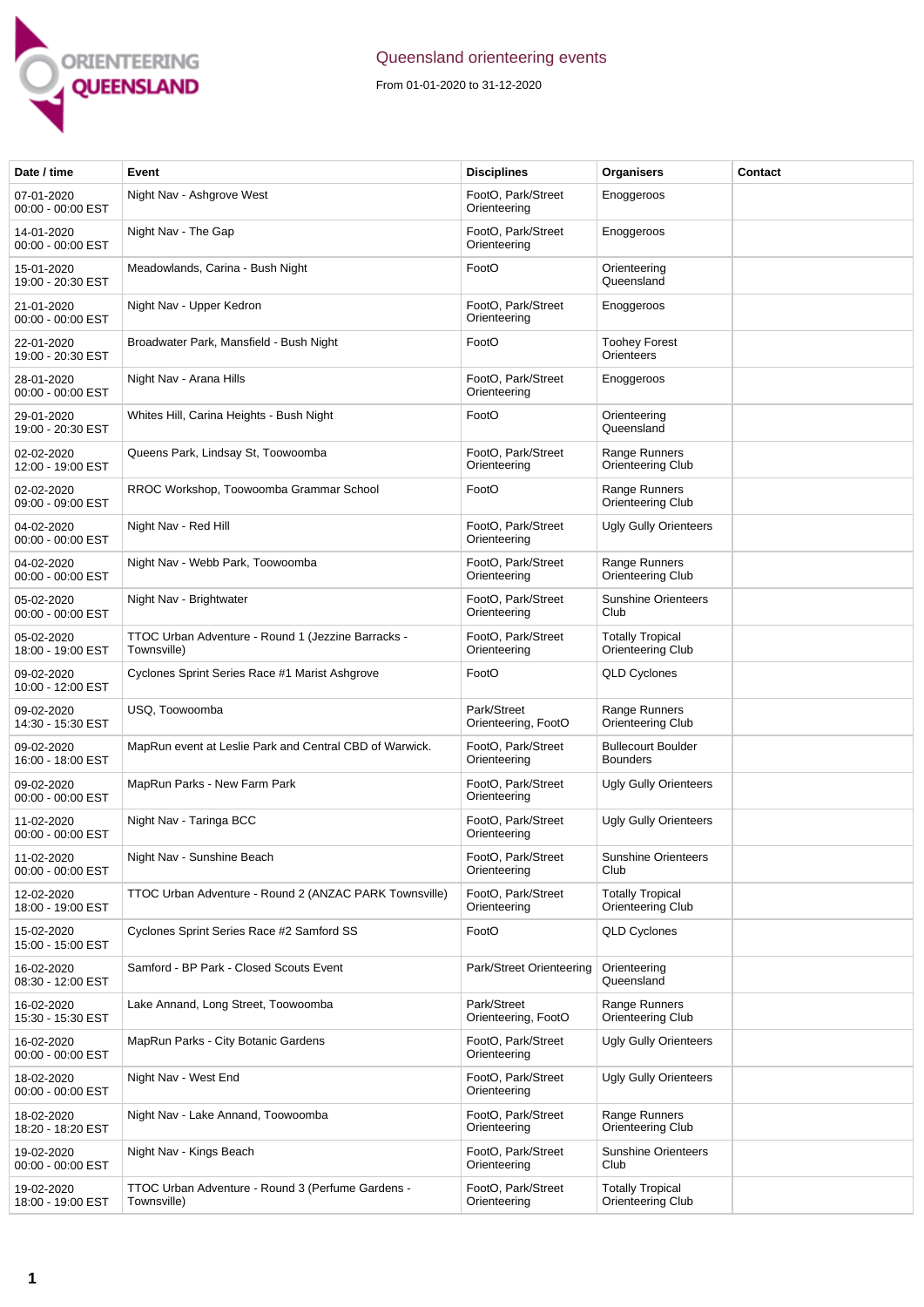

## Queensland orienteering events

From 01-01-2020 to 31-12-2020

| Date / time                     | Event                                                             | <b>Disciplines</b>                 | Organisers                                   | Contact |
|---------------------------------|-------------------------------------------------------------------|------------------------------------|----------------------------------------------|---------|
| 07-01-2020<br>00:00 - 00:00 EST | Night Nav - Ashgrove West                                         | FootO, Park/Street<br>Orienteering | Enoggeroos                                   |         |
| 14-01-2020<br>00:00 - 00:00 EST | Night Nav - The Gap                                               | FootO, Park/Street<br>Orienteering | Enoggeroos                                   |         |
| 15-01-2020<br>19:00 - 20:30 EST | Meadowlands, Carina - Bush Night                                  | FootO                              | Orienteering<br>Queensland                   |         |
| 21-01-2020<br>00:00 - 00:00 EST | Night Nav - Upper Kedron                                          | FootO, Park/Street<br>Orienteering | Enoggeroos                                   |         |
| 22-01-2020<br>19:00 - 20:30 EST | Broadwater Park, Mansfield - Bush Night                           | FootO                              | <b>Toohey Forest</b><br>Orienteers           |         |
| 28-01-2020<br>00:00 - 00:00 EST | Night Nav - Arana Hills                                           | FootO, Park/Street<br>Orienteering | Enoggeroos                                   |         |
| 29-01-2020<br>19:00 - 20:30 EST | Whites Hill, Carina Heights - Bush Night                          | FootO                              | Orienteering<br>Queensland                   |         |
| 02-02-2020<br>12:00 - 19:00 EST | Queens Park, Lindsay St, Toowoomba                                | FootO, Park/Street<br>Orienteering | Range Runners<br>Orienteering Club           |         |
| 02-02-2020<br>09:00 - 09:00 EST | RROC Workshop, Toowoomba Grammar School                           | FootO                              | Range Runners<br>Orienteering Club           |         |
| 04-02-2020<br>00:00 - 00:00 EST | Night Nav - Red Hill                                              | FootO, Park/Street<br>Orienteering | <b>Ugly Gully Orienteers</b>                 |         |
| 04-02-2020<br>00:00 - 00:00 EST | Night Nav - Webb Park, Toowoomba                                  | FootO, Park/Street<br>Orienteering | Range Runners<br>Orienteering Club           |         |
| 05-02-2020<br>00:00 - 00:00 EST | Night Nav - Brightwater                                           | FootO, Park/Street<br>Orienteering | <b>Sunshine Orienteers</b><br>Club           |         |
| 05-02-2020<br>18:00 - 19:00 EST | TTOC Urban Adventure - Round 1 (Jezzine Barracks -<br>Townsville) | FootO, Park/Street<br>Orienteering | <b>Totally Tropical</b><br>Orienteering Club |         |
| 09-02-2020<br>10:00 - 12:00 EST | Cyclones Sprint Series Race #1 Marist Ashgrove                    | FootO                              | <b>QLD Cyclones</b>                          |         |
| 09-02-2020<br>14:30 - 15:30 EST | USQ, Toowoomba                                                    | Park/Street<br>Orienteering, FootO | Range Runners<br>Orienteering Club           |         |
| 09-02-2020<br>16:00 - 18:00 EST | MapRun event at Leslie Park and Central CBD of Warwick.           | FootO, Park/Street<br>Orienteering | <b>Bullecourt Boulder</b><br><b>Bounders</b> |         |
| 09-02-2020<br>00:00 - 00:00 EST | MapRun Parks - New Farm Park                                      | FootO, Park/Street<br>Orienteering | <b>Ugly Gully Orienteers</b>                 |         |
| 11-02-2020<br>00:00 - 00:00 EST | Night Nav - Taringa BCC                                           | FootO, Park/Street<br>Orienteering | <b>Ugly Gully Orienteers</b>                 |         |
| 11-02-2020<br>00:00 - 00:00 EST | Night Nav - Sunshine Beach                                        | FootO, Park/Street<br>Orienteering | <b>Sunshine Orienteers</b><br>Club           |         |
| 12-02-2020<br>18:00 - 19:00 EST | TTOC Urban Adventure - Round 2 (ANZAC PARK Townsville)            | FootO. Park/Street<br>Orienteering | <b>Totally Tropical</b><br>Orienteering Club |         |
| 15-02-2020<br>15:00 - 15:00 EST | Cyclones Sprint Series Race #2 Samford SS                         | FootO                              | <b>QLD Cyclones</b>                          |         |
| 16-02-2020<br>08:30 - 12:00 EST | Samford - BP Park - Closed Scouts Event                           | Park/Street Orienteering           | Orienteering<br>Queensland                   |         |
| 16-02-2020<br>15:30 - 15:30 EST | Lake Annand, Long Street, Toowoomba                               | Park/Street<br>Orienteering, FootO | Range Runners<br>Orienteering Club           |         |
| 16-02-2020<br>00:00 - 00:00 EST | MapRun Parks - City Botanic Gardens                               | FootO, Park/Street<br>Orienteering | <b>Ugly Gully Orienteers</b>                 |         |
| 18-02-2020<br>00:00 - 00:00 EST | Night Nav - West End                                              | FootO, Park/Street<br>Orienteering | <b>Ugly Gully Orienteers</b>                 |         |
| 18-02-2020<br>18:20 - 18:20 EST | Night Nav - Lake Annand, Toowoomba                                | FootO, Park/Street<br>Orienteering | Range Runners<br>Orienteering Club           |         |
| 19-02-2020<br>00:00 - 00:00 EST | Night Nav - Kings Beach                                           | FootO, Park/Street<br>Orienteering | <b>Sunshine Orienteers</b><br>Club           |         |
| 19-02-2020<br>18:00 - 19:00 EST | TTOC Urban Adventure - Round 3 (Perfume Gardens -<br>Townsville)  | FootO, Park/Street<br>Orienteering | <b>Totally Tropical</b><br>Orienteering Club |         |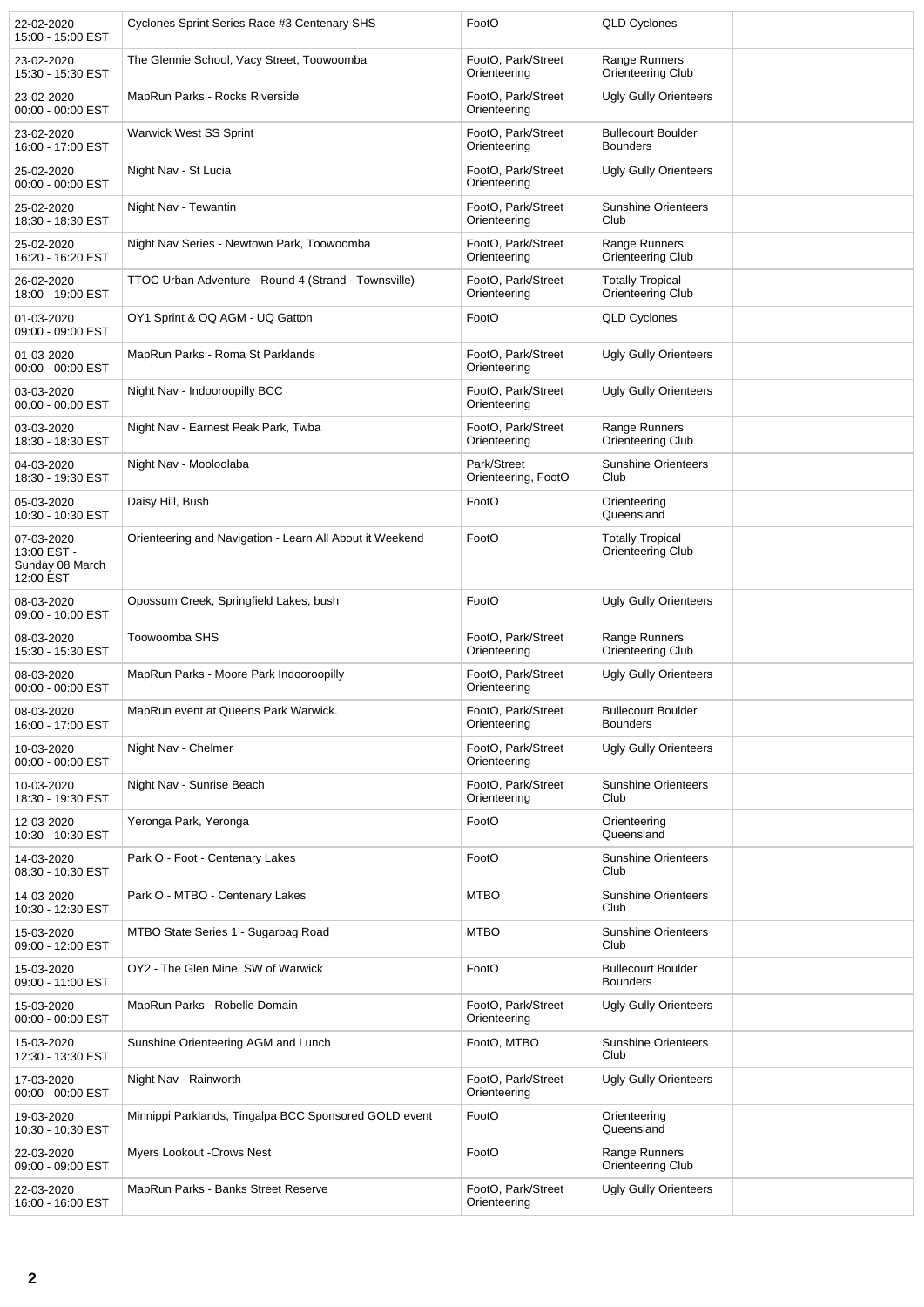| 22-02-2020<br>15:00 - 15:00 EST                           | Cyclones Sprint Series Race #3 Centenary SHS             | FootO                              | QLD Cyclones                                 |  |
|-----------------------------------------------------------|----------------------------------------------------------|------------------------------------|----------------------------------------------|--|
| 23-02-2020<br>15:30 - 15:30 EST                           | The Glennie School, Vacy Street, Toowoomba               | FootO, Park/Street<br>Orienteering | Range Runners<br>Orienteering Club           |  |
| 23-02-2020<br>00:00 - 00:00 EST                           | MapRun Parks - Rocks Riverside                           | FootO, Park/Street<br>Orienteering | <b>Ugly Gully Orienteers</b>                 |  |
| 23-02-2020<br>16:00 - 17:00 EST                           | Warwick West SS Sprint                                   | FootO, Park/Street<br>Orienteering | <b>Bullecourt Boulder</b><br><b>Bounders</b> |  |
| 25-02-2020<br>00:00 - 00:00 EST                           | Night Nav - St Lucia                                     | FootO, Park/Street<br>Orienteering | <b>Ugly Gully Orienteers</b>                 |  |
| 25-02-2020<br>18:30 - 18:30 EST                           | Night Nav - Tewantin                                     | FootO, Park/Street<br>Orienteering | <b>Sunshine Orienteers</b><br>Club           |  |
| 25-02-2020<br>16:20 - 16:20 EST                           | Night Nav Series - Newtown Park, Toowoomba               | FootO, Park/Street<br>Orienteering | Range Runners<br>Orienteering Club           |  |
| 26-02-2020<br>18:00 - 19:00 EST                           | TTOC Urban Adventure - Round 4 (Strand - Townsville)     | FootO, Park/Street<br>Orienteering | <b>Totally Tropical</b><br>Orienteering Club |  |
| 01-03-2020<br>09:00 - 09:00 EST                           | OY1 Sprint & OQ AGM - UQ Gatton                          | FootO                              | <b>QLD Cyclones</b>                          |  |
| 01-03-2020<br>00:00 - 00:00 EST                           | MapRun Parks - Roma St Parklands                         | FootO, Park/Street<br>Orienteering | <b>Ugly Gully Orienteers</b>                 |  |
| 03-03-2020<br>00:00 - 00:00 EST                           | Night Nav - Indooroopilly BCC                            | FootO, Park/Street<br>Orienteering | <b>Ugly Gully Orienteers</b>                 |  |
| 03-03-2020<br>18:30 - 18:30 EST                           | Night Nav - Earnest Peak Park, Twba                      | FootO, Park/Street<br>Orienteering | Range Runners<br>Orienteering Club           |  |
| 04-03-2020<br>18:30 - 19:30 EST                           | Night Nav - Mooloolaba                                   | Park/Street<br>Orienteering, FootO | <b>Sunshine Orienteers</b><br>Club           |  |
| 05-03-2020<br>10:30 - 10:30 EST                           | Daisy Hill, Bush                                         | FootO                              | Orienteering<br>Queensland                   |  |
| 07-03-2020<br>13:00 EST -<br>Sunday 08 March<br>12:00 EST | Orienteering and Navigation - Learn All About it Weekend | FootO                              | <b>Totally Tropical</b><br>Orienteering Club |  |
| 08-03-2020<br>09:00 - 10:00 EST                           | Opossum Creek, Springfield Lakes, bush                   | FootO                              | <b>Ugly Gully Orienteers</b>                 |  |
| 08-03-2020<br>15:30 - 15:30 EST                           | Toowoomba SHS                                            | FootO, Park/Street<br>Orienteering | Range Runners<br>Orienteering Club           |  |
| 08-03-2020<br>00:00 - 00:00 EST                           | MapRun Parks - Moore Park Indooroopilly                  | FootO, Park/Street<br>Orienteering | <b>Ugly Gully Orienteers</b>                 |  |
| 08-03-2020<br>16:00 - 17:00 EST                           | MapRun event at Queens Park Warwick.                     | FootO, Park/Street<br>Orienteering | <b>Bullecourt Boulder</b><br><b>Bounders</b> |  |
| 10-03-2020<br>00:00 - 00:00 EST                           | Night Nav - Chelmer                                      | FootO, Park/Street<br>Orienteering | <b>Ugly Gully Orienteers</b>                 |  |
| 10-03-2020<br>18:30 - 19:30 EST                           | Night Nav - Sunrise Beach                                | FootO, Park/Street<br>Orienteering | <b>Sunshine Orienteers</b><br>Club           |  |
| 12-03-2020<br>10:30 - 10:30 EST                           | Yeronga Park, Yeronga                                    | FootO                              | Orienteering<br>Queensland                   |  |
| 14-03-2020<br>08:30 - 10:30 EST                           | Park O - Foot - Centenary Lakes                          | FootO                              | <b>Sunshine Orienteers</b><br>Club           |  |
| 14-03-2020<br>10:30 - 12:30 EST                           | Park O - MTBO - Centenary Lakes                          | <b>MTBO</b>                        | <b>Sunshine Orienteers</b><br>Club           |  |
| 15-03-2020<br>09:00 - 12:00 EST                           | MTBO State Series 1 - Sugarbag Road                      | <b>MTBO</b>                        | <b>Sunshine Orienteers</b><br>Club           |  |
| 15-03-2020<br>09:00 - 11:00 EST                           | OY2 - The Glen Mine, SW of Warwick                       | FootO                              | <b>Bullecourt Boulder</b><br><b>Bounders</b> |  |
| 15-03-2020<br>00:00 - 00:00 EST                           | MapRun Parks - Robelle Domain                            | FootO, Park/Street<br>Orienteering | <b>Ugly Gully Orienteers</b>                 |  |
| 15-03-2020<br>12:30 - 13:30 EST                           | Sunshine Orienteering AGM and Lunch                      | FootO, MTBO                        | <b>Sunshine Orienteers</b><br>Club           |  |
| 17-03-2020<br>00:00 - 00:00 EST                           | Night Nav - Rainworth                                    | FootO, Park/Street<br>Orienteering | <b>Ugly Gully Orienteers</b>                 |  |
| 19-03-2020<br>10:30 - 10:30 EST                           | Minnippi Parklands, Tingalpa BCC Sponsored GOLD event    | FootO                              | Orienteering<br>Queensland                   |  |
| 22-03-2020<br>09:00 - 09:00 EST                           | Myers Lookout -Crows Nest                                | FootO                              | Range Runners<br>Orienteering Club           |  |
| 22-03-2020<br>16:00 - 16:00 EST                           | MapRun Parks - Banks Street Reserve                      | FootO, Park/Street<br>Orienteering | <b>Ugly Gully Orienteers</b>                 |  |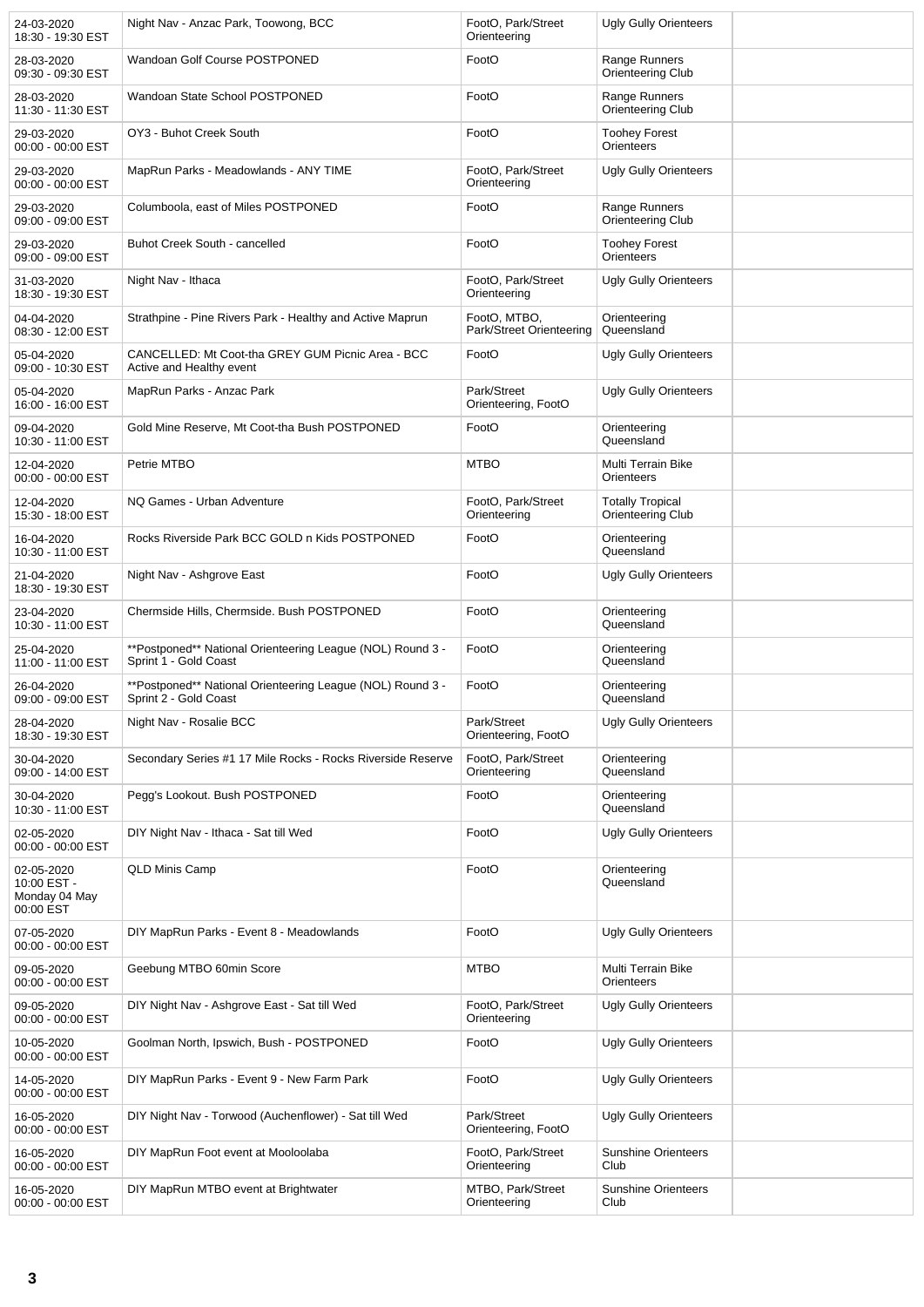| 24-03-2020<br>18:30 - 19:30 EST                         | Night Nav - Anzac Park, Toowong, BCC                                                | FootO. Park/Street<br>Orienteering       | Ugly Gully Orienteers                        |  |
|---------------------------------------------------------|-------------------------------------------------------------------------------------|------------------------------------------|----------------------------------------------|--|
| 28-03-2020<br>09:30 - 09:30 EST                         | Wandoan Golf Course POSTPONED                                                       | FootO                                    | Range Runners<br>Orienteering Club           |  |
| 28-03-2020<br>11:30 - 11:30 EST                         | Wandoan State School POSTPONED                                                      | FootO                                    | Range Runners<br>Orienteering Club           |  |
| 29-03-2020<br>00:00 - 00:00 EST                         | OY3 - Buhot Creek South                                                             | FootO                                    | <b>Toohey Forest</b><br>Orienteers           |  |
| 29-03-2020<br>00:00 - 00:00 EST                         | MapRun Parks - Meadowlands - ANY TIME                                               | FootO, Park/Street<br>Orienteering       | Ugly Gully Orienteers                        |  |
| 29-03-2020<br>09:00 - 09:00 EST                         | Columboola, east of Miles POSTPONED                                                 | FootO                                    | Range Runners<br>Orienteering Club           |  |
| 29-03-2020<br>09:00 - 09:00 EST                         | Buhot Creek South - cancelled                                                       | FootO                                    | <b>Toohey Forest</b><br>Orienteers           |  |
| 31-03-2020<br>18:30 - 19:30 EST                         | Night Nav - Ithaca                                                                  | FootO, Park/Street<br>Orienteering       | Ugly Gully Orienteers                        |  |
| 04-04-2020<br>08:30 - 12:00 EST                         | Strathpine - Pine Rivers Park - Healthy and Active Maprun                           | FootO, MTBO,<br>Park/Street Orienteering | Orienteering<br>Queensland                   |  |
| 05-04-2020<br>09:00 - 10:30 EST                         | CANCELLED: Mt Coot-tha GREY GUM Picnic Area - BCC<br>Active and Healthy event       | FootO                                    | Ugly Gully Orienteers                        |  |
| 05-04-2020<br>16:00 - 16:00 EST                         | MapRun Parks - Anzac Park                                                           | Park/Street<br>Orienteering, FootO       | <b>Ugly Gully Orienteers</b>                 |  |
| 09-04-2020<br>10:30 - 11:00 EST                         | Gold Mine Reserve, Mt Coot-tha Bush POSTPONED                                       | FootO                                    | Orienteering<br>Queensland                   |  |
| 12-04-2020<br>00:00 - 00:00 EST                         | Petrie MTBO                                                                         | <b>MTBO</b>                              | Multi Terrain Bike<br>Orienteers             |  |
| 12-04-2020<br>15:30 - 18:00 EST                         | NQ Games - Urban Adventure                                                          | FootO, Park/Street<br>Orienteering       | <b>Totally Tropical</b><br>Orienteering Club |  |
| 16-04-2020<br>10:30 - 11:00 EST                         | Rocks Riverside Park BCC GOLD n Kids POSTPONED                                      | FootO                                    | Orienteering<br>Queensland                   |  |
| 21-04-2020<br>18:30 - 19:30 EST                         | Night Nav - Ashgrove East                                                           | FootO                                    | Ugly Gully Orienteers                        |  |
| 23-04-2020<br>10:30 - 11:00 EST                         | Chermside Hills, Chermside. Bush POSTPONED                                          | FootO                                    | Orienteering<br>Queensland                   |  |
| 25-04-2020<br>11:00 - 11:00 EST                         | **Postponed** National Orienteering League (NOL) Round 3 -<br>Sprint 1 - Gold Coast | FootO                                    | Orienteering<br>Queensland                   |  |
| 26-04-2020<br>09:00 - 09:00 EST                         | **Postponed** National Orienteering League (NOL) Round 3 -<br>Sprint 2 - Gold Coast | FootO                                    | Orienteering<br>Queensland                   |  |
| 28-04-2020<br>18:30 - 19:30 EST                         | Night Nav - Rosalie BCC                                                             | Park/Street<br>Orienteering, FootO       | Ugly Gully Orienteers                        |  |
| 30-04-2020<br>09:00 - 14:00 EST                         | Secondary Series #1 17 Mile Rocks - Rocks Riverside Reserve                         | FootO, Park/Street<br>Orienteering       | Orienteering<br>Queensland                   |  |
| 30-04-2020<br>10:30 - 11:00 EST                         | Pegg's Lookout. Bush POSTPONED                                                      | FootO                                    | Orienteering<br>Queensland                   |  |
| 02-05-2020<br>00:00 - 00:00 EST                         | DIY Night Nav - Ithaca - Sat till Wed                                               | FootO                                    | Ugly Gully Orienteers                        |  |
| 02-05-2020<br>10:00 EST -<br>Monday 04 May<br>00:00 EST | <b>QLD Minis Camp</b>                                                               | FootO                                    | Orienteering<br>Queensland                   |  |
| 07-05-2020<br>00:00 - 00:00 EST                         | DIY MapRun Parks - Event 8 - Meadowlands                                            | FootO                                    | <b>Ugly Gully Orienteers</b>                 |  |
| 09-05-2020<br>00:00 - 00:00 EST                         | Geebung MTBO 60min Score                                                            | <b>MTBO</b>                              | Multi Terrain Bike<br>Orienteers             |  |
| 09-05-2020<br>00:00 - 00:00 EST                         | DIY Night Nav - Ashgrove East - Sat till Wed                                        | FootO, Park/Street<br>Orienteering       | <b>Ugly Gully Orienteers</b>                 |  |
| 10-05-2020<br>00:00 - 00:00 EST                         | Goolman North, Ipswich, Bush - POSTPONED                                            | FootO                                    | <b>Ugly Gully Orienteers</b>                 |  |
| 14-05-2020<br>00:00 - 00:00 EST                         | DIY MapRun Parks - Event 9 - New Farm Park                                          | FootO                                    | <b>Ugly Gully Orienteers</b>                 |  |
| 16-05-2020<br>00:00 - 00:00 EST                         | DIY Night Nav - Torwood (Auchenflower) - Sat till Wed                               | Park/Street<br>Orienteering, FootO       | <b>Ugly Gully Orienteers</b>                 |  |
| 16-05-2020<br>00:00 - 00:00 EST                         | DIY MapRun Foot event at Mooloolaba                                                 | FootO, Park/Street<br>Orienteering       | <b>Sunshine Orienteers</b><br>Club           |  |
| 16-05-2020<br>00:00 - 00:00 EST                         | DIY MapRun MTBO event at Brightwater                                                | MTBO, Park/Street<br>Orienteering        | <b>Sunshine Orienteers</b><br>Club           |  |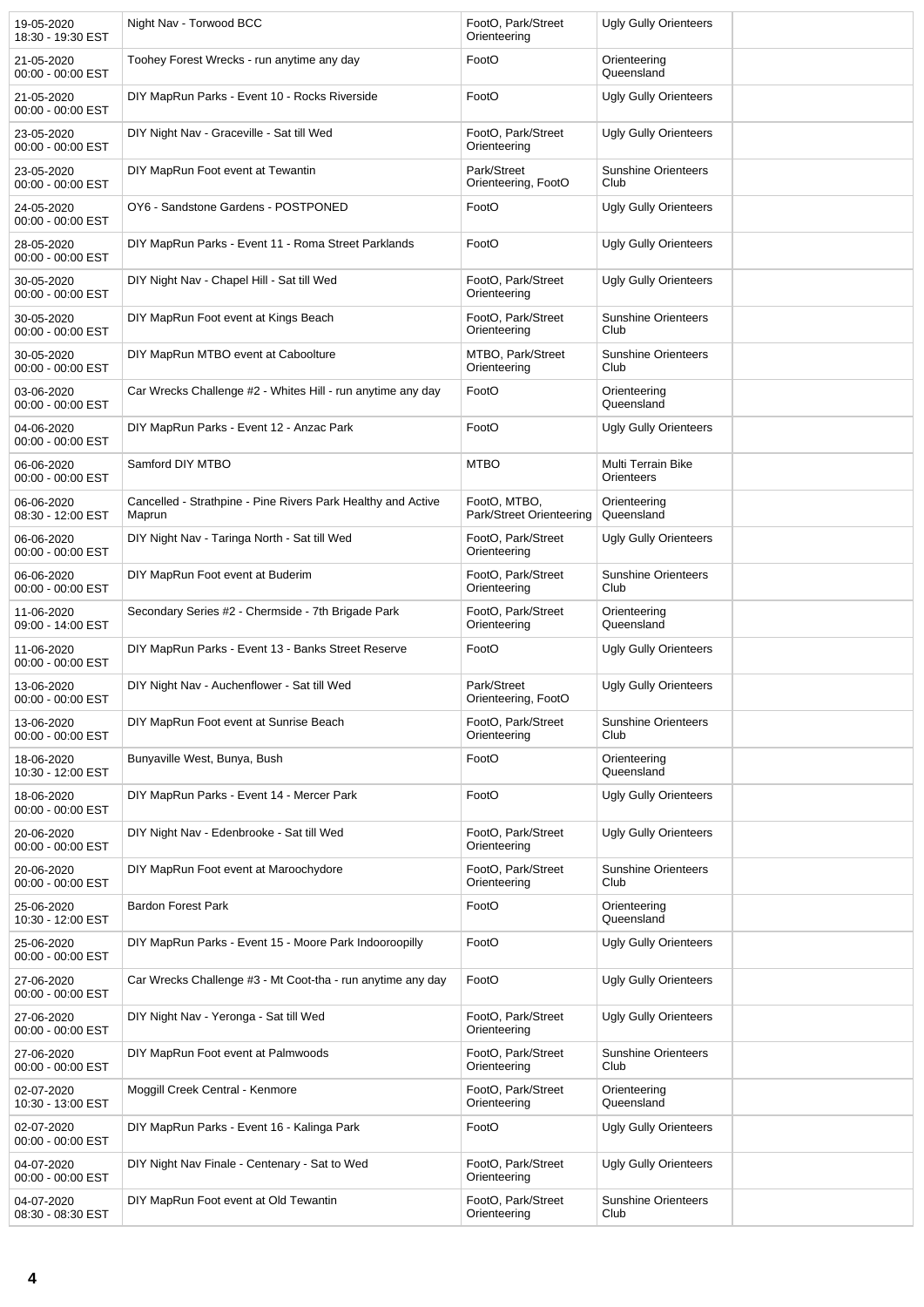| 19-05-2020<br>18:30 - 19:30 EST   | Night Nav - Torwood BCC                                                | FootO, Park/Street<br>Orienteering       | <b>Ugly Gully Orienteers</b>       |  |
|-----------------------------------|------------------------------------------------------------------------|------------------------------------------|------------------------------------|--|
| 21-05-2020<br>00:00 - 00:00 EST   | Toohey Forest Wrecks - run anytime any day                             | FootO                                    | Orienteering<br>Queensland         |  |
| 21-05-2020<br>00:00 - 00:00 EST   | DIY MapRun Parks - Event 10 - Rocks Riverside                          | FootO                                    | <b>Ugly Gully Orienteers</b>       |  |
| 23-05-2020<br>00:00 - 00:00 EST   | DIY Night Nav - Graceville - Sat till Wed                              | FootO, Park/Street<br>Orienteering       | <b>Ugly Gully Orienteers</b>       |  |
| 23-05-2020<br>00:00 - 00:00 EST   | DIY MapRun Foot event at Tewantin                                      | Park/Street<br>Orienteering, FootO       | <b>Sunshine Orienteers</b><br>Club |  |
| 24-05-2020<br>00:00 - 00:00 EST   | OY6 - Sandstone Gardens - POSTPONED                                    | FootO                                    | Ugly Gully Orienteers              |  |
| 28-05-2020<br>00:00 - 00:00 EST   | DIY MapRun Parks - Event 11 - Roma Street Parklands                    | FootO                                    | <b>Ugly Gully Orienteers</b>       |  |
| 30-05-2020<br>00:00 - 00:00 EST   | DIY Night Nav - Chapel Hill - Sat till Wed                             | FootO, Park/Street<br>Orienteering       | <b>Ugly Gully Orienteers</b>       |  |
| 30-05-2020<br>00:00 - 00:00 EST   | DIY MapRun Foot event at Kings Beach                                   | FootO, Park/Street<br>Orienteering       | <b>Sunshine Orienteers</b><br>Club |  |
| 30-05-2020<br>00:00 - 00:00 EST   | DIY MapRun MTBO event at Caboolture                                    | MTBO, Park/Street<br>Orienteering        | <b>Sunshine Orienteers</b><br>Club |  |
| 03-06-2020<br>00:00 - 00:00 EST   | Car Wrecks Challenge #2 - Whites Hill - run anytime any day            | FootO                                    | Orienteering<br>Queensland         |  |
| 04-06-2020<br>00:00 - 00:00 EST   | DIY MapRun Parks - Event 12 - Anzac Park                               | FootO                                    | Ugly Gully Orienteers              |  |
| 06-06-2020<br>00:00 - 00:00 EST   | Samford DIY MTBO                                                       | <b>MTBO</b>                              | Multi Terrain Bike<br>Orienteers   |  |
| 06-06-2020<br>08:30 - 12:00 EST   | Cancelled - Strathpine - Pine Rivers Park Healthy and Active<br>Maprun | FootO, MTBO,<br>Park/Street Orienteering | Orienteering<br>Queensland         |  |
| 06-06-2020<br>00:00 - 00:00 EST   | DIY Night Nav - Taringa North - Sat till Wed                           | FootO, Park/Street<br>Orienteering       | <b>Ugly Gully Orienteers</b>       |  |
| 06-06-2020<br>00:00 - 00:00 EST   | DIY MapRun Foot event at Buderim                                       | FootO, Park/Street<br>Orienteering       | <b>Sunshine Orienteers</b><br>Club |  |
| 11-06-2020<br>09:00 - 14:00 EST   | Secondary Series #2 - Chermside - 7th Brigade Park                     | FootO, Park/Street<br>Orienteering       | Orienteering<br>Queensland         |  |
| 11-06-2020<br>$00:00 - 00:00$ EST | DIY MapRun Parks - Event 13 - Banks Street Reserve                     | FootO                                    | <b>Ugly Gully Orienteers</b>       |  |
| 13-06-2020<br>00:00 - 00:00 EST   | DIY Night Nav - Auchenflower - Sat till Wed                            | Park/Street<br>Orienteering, FootO       | <b>Ugly Gully Orienteers</b>       |  |
| 13-06-2020<br>00:00 - 00:00 EST   | DIY MapRun Foot event at Sunrise Beach                                 | FootO, Park/Street<br>Orienteering       | <b>Sunshine Orienteers</b><br>Club |  |
| 18-06-2020<br>10:30 - 12:00 EST   | Bunyaville West, Bunya, Bush                                           | FootO                                    | Orienteering<br>Queensland         |  |
| 18-06-2020<br>00:00 - 00:00 EST   | DIY MapRun Parks - Event 14 - Mercer Park                              | FootO                                    | Ugly Gully Orienteers              |  |
| 20-06-2020<br>00:00 - 00:00 EST   | DIY Night Nav - Edenbrooke - Sat till Wed                              | FootO, Park/Street<br>Orienteering       | <b>Ugly Gully Orienteers</b>       |  |
| 20-06-2020<br>00:00 - 00:00 EST   | DIY MapRun Foot event at Maroochydore                                  | FootO, Park/Street<br>Orienteering       | <b>Sunshine Orienteers</b><br>Club |  |
| 25-06-2020<br>10:30 - 12:00 EST   | <b>Bardon Forest Park</b>                                              | FootO                                    | Orienteering<br>Queensland         |  |
| 25-06-2020<br>00:00 - 00:00 EST   | DIY MapRun Parks - Event 15 - Moore Park Indooroopilly                 | FootO                                    | <b>Ugly Gully Orienteers</b>       |  |
| 27-06-2020<br>00:00 - 00:00 EST   | Car Wrecks Challenge #3 - Mt Coot-tha - run anytime any day            | FootO                                    | <b>Ugly Gully Orienteers</b>       |  |
| 27-06-2020<br>00:00 - 00:00 EST   | DIY Night Nav - Yeronga - Sat till Wed                                 | FootO, Park/Street<br>Orienteering       | <b>Ugly Gully Orienteers</b>       |  |
| 27-06-2020<br>00:00 - 00:00 EST   | DIY MapRun Foot event at Palmwoods                                     | FootO, Park/Street<br>Orienteering       | <b>Sunshine Orienteers</b><br>Club |  |
| 02-07-2020<br>10:30 - 13:00 EST   | Moggill Creek Central - Kenmore                                        | FootO, Park/Street<br>Orienteering       | Orienteering<br>Queensland         |  |
| 02-07-2020<br>00:00 - 00:00 EST   | DIY MapRun Parks - Event 16 - Kalinga Park                             | FootO                                    | Ugly Gully Orienteers              |  |
| 04-07-2020<br>00:00 - 00:00 EST   | DIY Night Nav Finale - Centenary - Sat to Wed                          | FootO, Park/Street<br>Orienteering       | Ugly Gully Orienteers              |  |
| 04-07-2020<br>08:30 - 08:30 EST   | DIY MapRun Foot event at Old Tewantin                                  | FootO, Park/Street<br>Orienteering       | <b>Sunshine Orienteers</b><br>Club |  |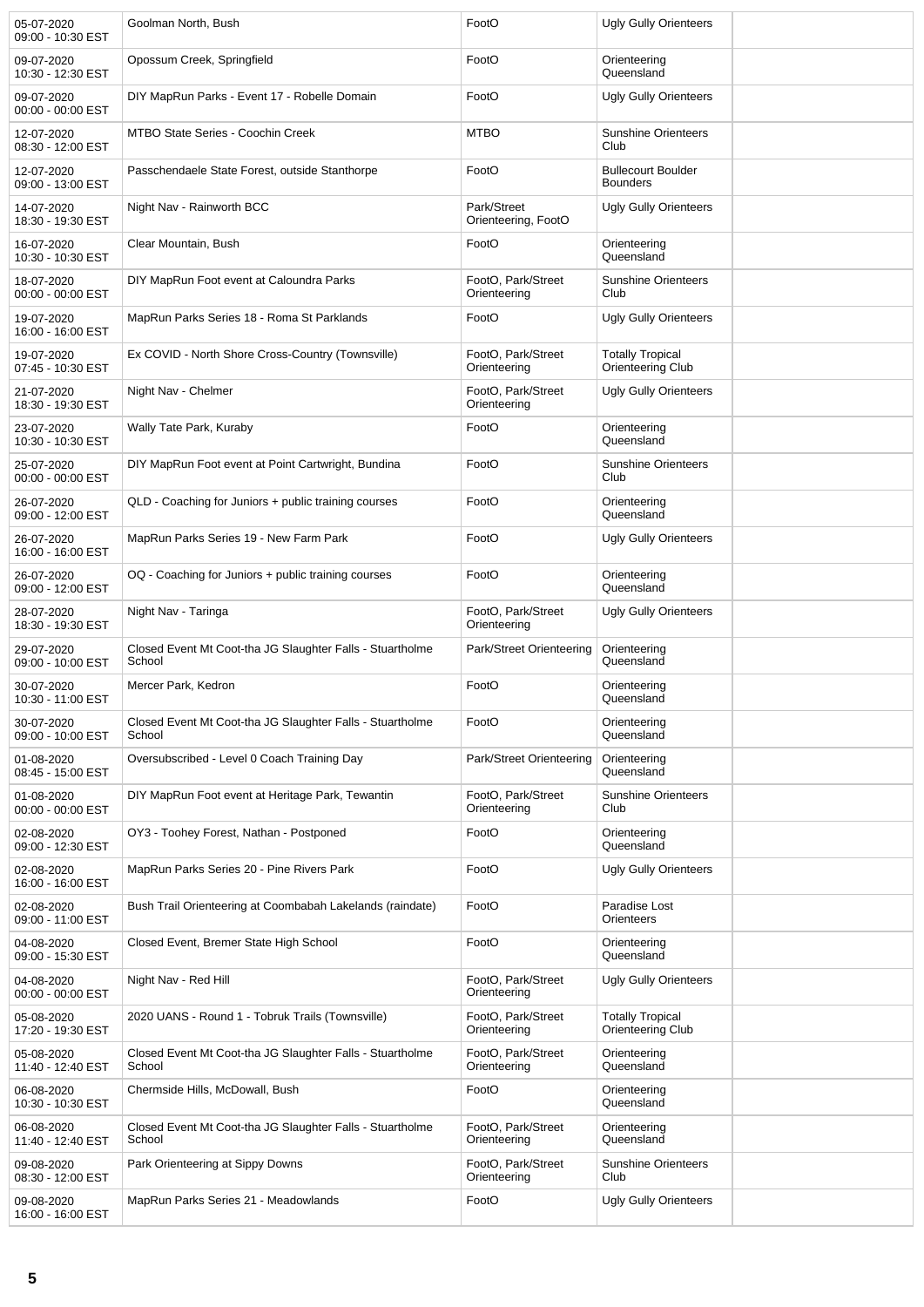| 05-07-2020<br>09:00 - 10:30 EST | Goolman North, Bush                                                 | FootO                              | <b>Ugly Gully Orienteers</b>                 |  |
|---------------------------------|---------------------------------------------------------------------|------------------------------------|----------------------------------------------|--|
| 09-07-2020<br>10:30 - 12:30 EST | Opossum Creek, Springfield                                          | FootO                              | Orienteering<br>Queensland                   |  |
| 09-07-2020<br>00:00 - 00:00 EST | DIY MapRun Parks - Event 17 - Robelle Domain                        | FootO                              | Ugly Gully Orienteers                        |  |
| 12-07-2020<br>08:30 - 12:00 EST | <b>MTBO State Series - Coochin Creek</b>                            | <b>MTBO</b>                        | <b>Sunshine Orienteers</b><br>Club           |  |
| 12-07-2020<br>09:00 - 13:00 EST | Passchendaele State Forest, outside Stanthorpe                      | FootO                              | <b>Bullecourt Boulder</b><br><b>Bounders</b> |  |
| 14-07-2020<br>18:30 - 19:30 EST | Night Nav - Rainworth BCC                                           | Park/Street<br>Orienteering, FootO | Ugly Gully Orienteers                        |  |
| 16-07-2020<br>10:30 - 10:30 EST | Clear Mountain, Bush                                                | FootO                              | Orienteering<br>Queensland                   |  |
| 18-07-2020<br>00:00 - 00:00 EST | DIY MapRun Foot event at Caloundra Parks                            | FootO, Park/Street<br>Orienteering | <b>Sunshine Orienteers</b><br>Club           |  |
| 19-07-2020<br>16:00 - 16:00 EST | MapRun Parks Series 18 - Roma St Parklands                          | FootO                              | Ugly Gully Orienteers                        |  |
| 19-07-2020<br>07:45 - 10:30 EST | Ex COVID - North Shore Cross-Country (Townsville)                   | FootO, Park/Street<br>Orienteering | <b>Totally Tropical</b><br>Orienteering Club |  |
| 21-07-2020<br>18:30 - 19:30 EST | Night Nav - Chelmer                                                 | FootO, Park/Street<br>Orienteering | Ugly Gully Orienteers                        |  |
| 23-07-2020<br>10:30 - 10:30 EST | Wally Tate Park, Kuraby                                             | FootO                              | Orienteering<br>Queensland                   |  |
| 25-07-2020<br>00:00 - 00:00 EST | DIY MapRun Foot event at Point Cartwright, Bundina                  | FootO                              | <b>Sunshine Orienteers</b><br>Club           |  |
| 26-07-2020<br>09:00 - 12:00 EST | QLD - Coaching for Juniors + public training courses                | FootO                              | Orienteering<br>Queensland                   |  |
| 26-07-2020<br>16:00 - 16:00 EST | MapRun Parks Series 19 - New Farm Park                              | FootO                              | Ugly Gully Orienteers                        |  |
| 26-07-2020<br>09:00 - 12:00 EST | OQ - Coaching for Juniors + public training courses                 | FootO                              | Orienteering<br>Queensland                   |  |
| 28-07-2020<br>18:30 - 19:30 EST | Night Nav - Taringa                                                 | FootO, Park/Street<br>Orienteering | Ugly Gully Orienteers                        |  |
| 29-07-2020<br>09:00 - 10:00 EST | Closed Event Mt Coot-tha JG Slaughter Falls - Stuartholme<br>School | Park/Street Orienteering           | Orienteering<br>Queensland                   |  |
| 30-07-2020<br>10:30 - 11:00 EST | Mercer Park, Kedron                                                 | FootO                              | Orienteering<br>Queensland                   |  |
| 30-07-2020<br>09:00 - 10:00 EST | Closed Event Mt Coot-tha JG Slaughter Falls - Stuartholme<br>School | FootO                              | Orienteering<br>Queensland                   |  |
| 01-08-2020<br>08:45 - 15:00 EST | Oversubscribed - Level 0 Coach Training Day                         | Park/Street Orienteering           | Orienteering<br>Queensland                   |  |
| 01-08-2020<br>00:00 - 00:00 EST | DIY MapRun Foot event at Heritage Park, Tewantin                    | FootO, Park/Street<br>Orienteering | <b>Sunshine Orienteers</b><br>Club           |  |
| 02-08-2020<br>09:00 - 12:30 EST | OY3 - Toohey Forest, Nathan - Postponed                             | FootO                              | Orienteering<br>Queensland                   |  |
| 02-08-2020<br>16:00 - 16:00 EST | MapRun Parks Series 20 - Pine Rivers Park                           | FootO                              | Ugly Gully Orienteers                        |  |
| 02-08-2020<br>09:00 - 11:00 EST | Bush Trail Orienteering at Coombabah Lakelands (raindate)           | FootO                              | Paradise Lost<br>Orienteers                  |  |
| 04-08-2020<br>09:00 - 15:30 EST | Closed Event, Bremer State High School                              | FootO                              | Orienteering<br>Queensland                   |  |
| 04-08-2020<br>00:00 - 00:00 EST | Night Nav - Red Hill                                                | FootO, Park/Street<br>Orienteering | Ugly Gully Orienteers                        |  |
| 05-08-2020<br>17:20 - 19:30 EST | 2020 UANS - Round 1 - Tobruk Trails (Townsville)                    | FootO, Park/Street<br>Orienteering | <b>Totally Tropical</b><br>Orienteering Club |  |
| 05-08-2020<br>11:40 - 12:40 EST | Closed Event Mt Coot-tha JG Slaughter Falls - Stuartholme<br>School | FootO, Park/Street<br>Orienteering | Orienteering<br>Queensland                   |  |
| 06-08-2020<br>10:30 - 10:30 EST | Chermside Hills, McDowall, Bush                                     | FootO                              | Orienteering<br>Queensland                   |  |
| 06-08-2020<br>11:40 - 12:40 EST | Closed Event Mt Coot-tha JG Slaughter Falls - Stuartholme<br>School | FootO, Park/Street<br>Orienteering | Orienteering<br>Queensland                   |  |
| 09-08-2020<br>08:30 - 12:00 EST | Park Orienteering at Sippy Downs                                    | FootO, Park/Street<br>Orienteering | <b>Sunshine Orienteers</b><br>Club           |  |
| 09-08-2020<br>16:00 - 16:00 EST | MapRun Parks Series 21 - Meadowlands                                | FootO                              | <b>Ugly Gully Orienteers</b>                 |  |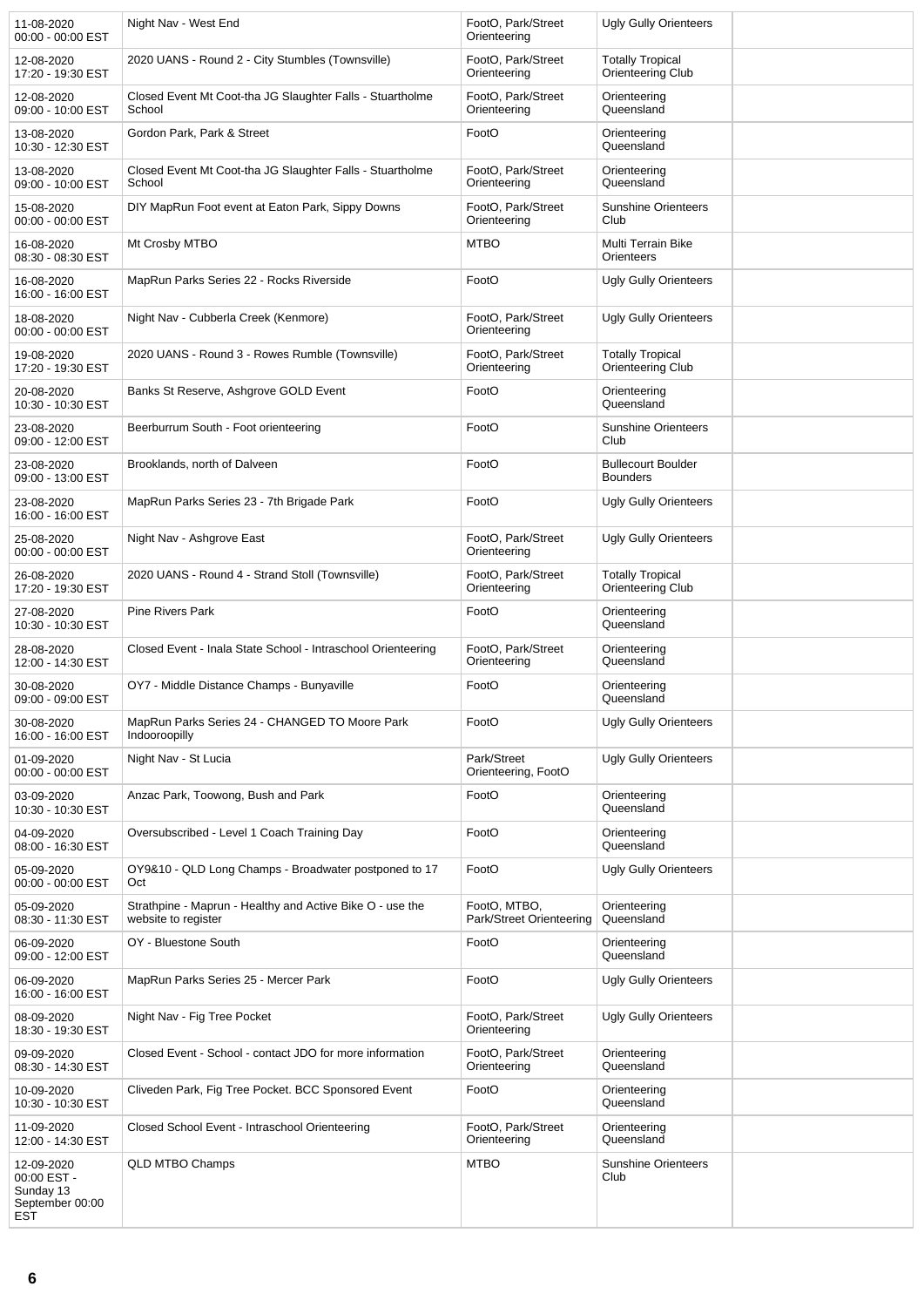| 11-08-2020<br>00:00 - 00:00 EST                                         | Night Nav - West End                                                             | FootO, Park/Street<br>Orienteering       | <b>Ugly Gully Orienteers</b>                 |  |
|-------------------------------------------------------------------------|----------------------------------------------------------------------------------|------------------------------------------|----------------------------------------------|--|
| 12-08-2020<br>17:20 - 19:30 EST                                         | 2020 UANS - Round 2 - City Stumbles (Townsville)                                 | FootO, Park/Street<br>Orienteering       | <b>Totally Tropical</b><br>Orienteering Club |  |
| 12-08-2020<br>09:00 - 10:00 EST                                         | Closed Event Mt Coot-tha JG Slaughter Falls - Stuartholme<br>School              | FootO, Park/Street<br>Orienteering       | Orienteering<br>Queensland                   |  |
| 13-08-2020<br>10:30 - 12:30 EST                                         | Gordon Park, Park & Street                                                       | FootO                                    | Orienteering<br>Queensland                   |  |
| 13-08-2020<br>09:00 - 10:00 EST                                         | Closed Event Mt Coot-tha JG Slaughter Falls - Stuartholme<br>School              | FootO, Park/Street<br>Orienteering       | Orienteering<br>Queensland                   |  |
| 15-08-2020<br>00:00 - 00:00 EST                                         | DIY MapRun Foot event at Eaton Park, Sippy Downs                                 | FootO, Park/Street<br>Orienteering       | <b>Sunshine Orienteers</b><br>Club           |  |
| 16-08-2020<br>08:30 - 08:30 EST                                         | Mt Crosby MTBO                                                                   | <b>MTBO</b>                              | Multi Terrain Bike<br>Orienteers             |  |
| 16-08-2020<br>16:00 - 16:00 EST                                         | MapRun Parks Series 22 - Rocks Riverside                                         | FootO                                    | <b>Ugly Gully Orienteers</b>                 |  |
| 18-08-2020<br>00:00 - 00:00 EST                                         | Night Nav - Cubberla Creek (Kenmore)                                             | FootO, Park/Street<br>Orienteering       | <b>Ugly Gully Orienteers</b>                 |  |
| 19-08-2020<br>17:20 - 19:30 EST                                         | 2020 UANS - Round 3 - Rowes Rumble (Townsville)                                  | FootO, Park/Street<br>Orienteering       | <b>Totally Tropical</b><br>Orienteering Club |  |
| 20-08-2020<br>10:30 - 10:30 EST                                         | Banks St Reserve, Ashgrove GOLD Event                                            | FootO                                    | Orienteering<br>Queensland                   |  |
| 23-08-2020<br>09:00 - 12:00 EST                                         | Beerburrum South - Foot orienteering                                             | FootO                                    | <b>Sunshine Orienteers</b><br>Club           |  |
| 23-08-2020<br>09:00 - 13:00 EST                                         | Brooklands, north of Dalveen                                                     | FootO                                    | <b>Bullecourt Boulder</b><br><b>Bounders</b> |  |
| 23-08-2020<br>16:00 - 16:00 EST                                         | MapRun Parks Series 23 - 7th Brigade Park                                        | FootO                                    | <b>Ugly Gully Orienteers</b>                 |  |
| 25-08-2020<br>00:00 - 00:00 EST                                         | Night Nav - Ashgrove East                                                        | FootO, Park/Street<br>Orienteering       | <b>Ugly Gully Orienteers</b>                 |  |
| 26-08-2020<br>17:20 - 19:30 EST                                         | 2020 UANS - Round 4 - Strand Stoll (Townsville)                                  | FootO, Park/Street<br>Orienteering       | <b>Totally Tropical</b><br>Orienteering Club |  |
| 27-08-2020<br>10:30 - 10:30 EST                                         | <b>Pine Rivers Park</b>                                                          | FootO                                    | Orienteering<br>Queensland                   |  |
| 28-08-2020<br>12:00 - 14:30 EST                                         | Closed Event - Inala State School - Intraschool Orienteering                     | FootO, Park/Street<br>Orienteering       | Orienteering<br>Queensland                   |  |
| 30-08-2020<br>09:00 - 09:00 EST                                         | OY7 - Middle Distance Champs - Bunyaville                                        | FootO                                    | Orienteering<br>Queensland                   |  |
| 30-08-2020<br>16:00 - 16:00 EST                                         | MapRun Parks Series 24 - CHANGED TO Moore Park<br>Indooroopilly                  | FootO                                    | <b>Ugly Gully Orienteers</b>                 |  |
| 01-09-2020<br>00:00 - 00:00 EST                                         | Night Nav - St Lucia                                                             | Park/Street<br>Orienteering, FootO       | <b>Ugly Gully Orienteers</b>                 |  |
| 03-09-2020<br>10:30 - 10:30 EST                                         | Anzac Park, Toowong, Bush and Park                                               | FootO                                    | Orienteering<br>Queensland                   |  |
| 04-09-2020<br>08:00 - 16:30 EST                                         | Oversubscribed - Level 1 Coach Training Day                                      | FootO                                    | Orienteering<br>Queensland                   |  |
| 05-09-2020<br>00:00 - 00:00 EST                                         | OY9&10 - QLD Long Champs - Broadwater postponed to 17<br>Oct                     | FootO                                    | <b>Ugly Gully Orienteers</b>                 |  |
| 05-09-2020<br>08:30 - 11:30 EST                                         | Strathpine - Maprun - Healthy and Active Bike O - use the<br>website to register | FootO, MTBO,<br>Park/Street Orienteering | Orienteering<br>Queensland                   |  |
| 06-09-2020<br>09:00 - 12:00 EST                                         | OY - Bluestone South                                                             | FootO                                    | Orienteering<br>Queensland                   |  |
| 06-09-2020<br>16:00 - 16:00 EST                                         | MapRun Parks Series 25 - Mercer Park                                             | FootO                                    | <b>Ugly Gully Orienteers</b>                 |  |
| 08-09-2020<br>18:30 - 19:30 EST                                         | Night Nav - Fig Tree Pocket                                                      | FootO, Park/Street<br>Orienteering       | <b>Ugly Gully Orienteers</b>                 |  |
| 09-09-2020<br>08:30 - 14:30 EST                                         | Closed Event - School - contact JDO for more information                         | FootO, Park/Street<br>Orienteering       | Orienteering<br>Queensland                   |  |
| 10-09-2020<br>10:30 - 10:30 EST                                         | Cliveden Park, Fig Tree Pocket. BCC Sponsored Event                              | FootO                                    | Orienteering<br>Queensland                   |  |
| 11-09-2020<br>12:00 - 14:30 EST                                         | Closed School Event - Intraschool Orienteering                                   | FootO, Park/Street<br>Orienteering       | Orienteering<br>Queensland                   |  |
| 12-09-2020<br>00:00 EST -<br>Sunday 13<br>September 00:00<br><b>EST</b> | QLD MTBO Champs                                                                  | <b>MTBO</b>                              | <b>Sunshine Orienteers</b><br>Club           |  |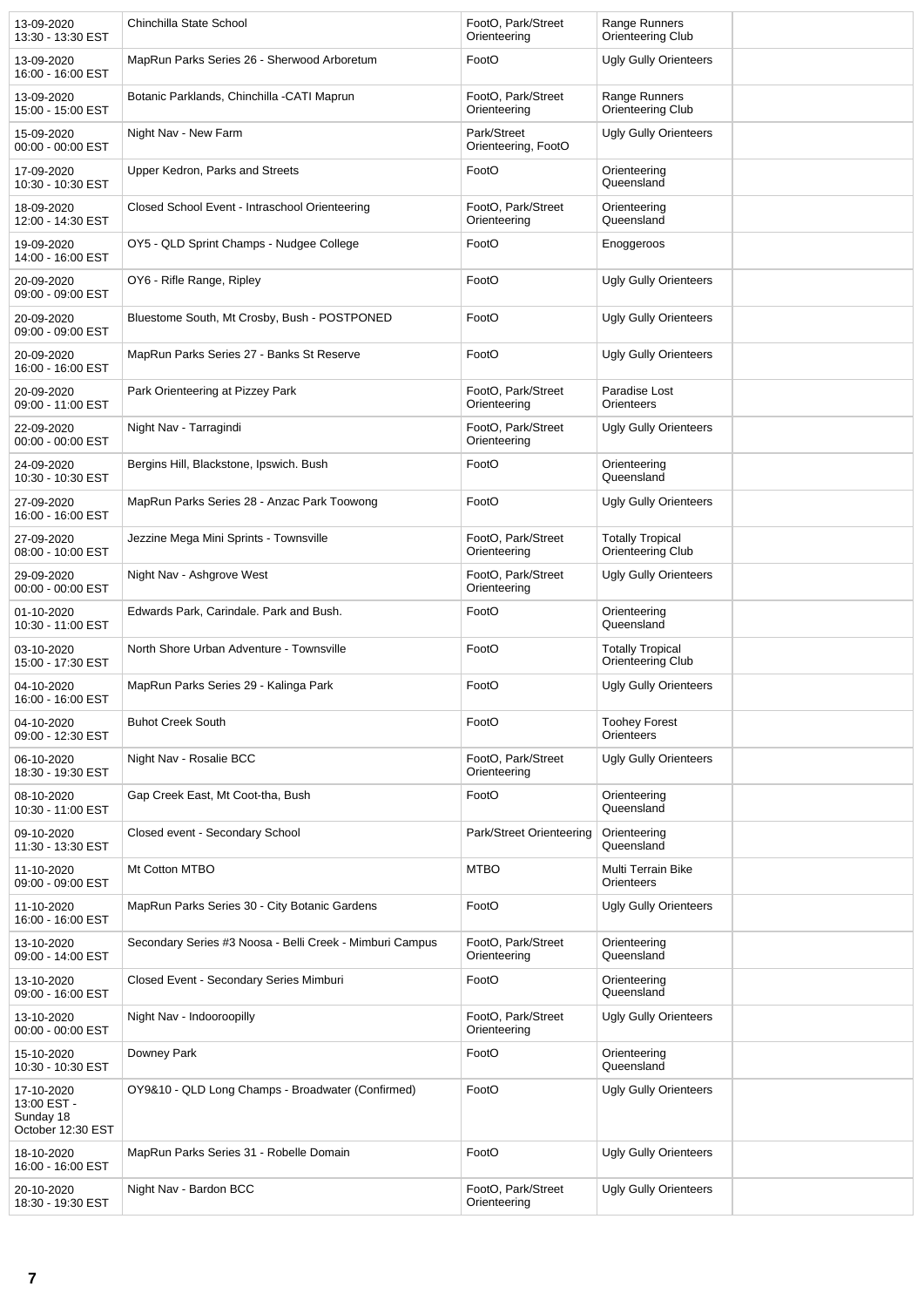| 13-09-2020<br>13:30 - 13:30 EST                             | Chinchilla State School                                  | FootO, Park/Street<br>Orienteering | Range Runners<br>Orienteering Club           |  |
|-------------------------------------------------------------|----------------------------------------------------------|------------------------------------|----------------------------------------------|--|
| 13-09-2020<br>16:00 - 16:00 EST                             | MapRun Parks Series 26 - Sherwood Arboretum              | FootO                              | <b>Ugly Gully Orienteers</b>                 |  |
| 13-09-2020<br>15:00 - 15:00 EST                             | Botanic Parklands, Chinchilla -CATI Maprun               | FootO, Park/Street<br>Orienteering | Range Runners<br>Orienteering Club           |  |
| 15-09-2020<br>00:00 - 00:00 EST                             | Night Nav - New Farm                                     | Park/Street<br>Orienteering, FootO | <b>Ugly Gully Orienteers</b>                 |  |
| 17-09-2020<br>10:30 - 10:30 EST                             | Upper Kedron, Parks and Streets                          | FootO                              | Orienteering<br>Queensland                   |  |
| 18-09-2020<br>12:00 - 14:30 EST                             | Closed School Event - Intraschool Orienteering           | FootO, Park/Street<br>Orienteering | Orienteering<br>Queensland                   |  |
| 19-09-2020<br>14:00 - 16:00 EST                             | OY5 - QLD Sprint Champs - Nudgee College                 | FootO                              | Enoggeroos                                   |  |
| 20-09-2020<br>09:00 - 09:00 EST                             | OY6 - Rifle Range, Ripley                                | FootO                              | <b>Ugly Gully Orienteers</b>                 |  |
| 20-09-2020<br>09:00 - 09:00 EST                             | Bluestome South, Mt Crosby, Bush - POSTPONED             | FootO                              | <b>Ugly Gully Orienteers</b>                 |  |
| 20-09-2020<br>16:00 - 16:00 EST                             | MapRun Parks Series 27 - Banks St Reserve                | FootO                              | <b>Ugly Gully Orienteers</b>                 |  |
| 20-09-2020<br>09:00 - 11:00 EST                             | Park Orienteering at Pizzey Park                         | FootO, Park/Street<br>Orienteering | Paradise Lost<br>Orienteers                  |  |
| 22-09-2020<br>00:00 - 00:00 EST                             | Night Nav - Tarragindi                                   | FootO. Park/Street<br>Orienteering | Ugly Gully Orienteers                        |  |
| 24-09-2020<br>10:30 - 10:30 EST                             | Bergins Hill, Blackstone, Ipswich. Bush                  | FootO                              | Orienteering<br>Queensland                   |  |
| 27-09-2020<br>16:00 - 16:00 EST                             | MapRun Parks Series 28 - Anzac Park Toowong              | FootO                              | <b>Ugly Gully Orienteers</b>                 |  |
| 27-09-2020<br>08:00 - 10:00 EST                             | Jezzine Mega Mini Sprints - Townsville                   | FootO, Park/Street<br>Orienteering | <b>Totally Tropical</b><br>Orienteering Club |  |
| 29-09-2020<br>00:00 - 00:00 EST                             | Night Nav - Ashgrove West                                | FootO, Park/Street<br>Orienteering | <b>Ugly Gully Orienteers</b>                 |  |
| 01-10-2020<br>10:30 - 11:00 EST                             | Edwards Park, Carindale. Park and Bush.                  | FootO                              | Orienteering<br>Queensland                   |  |
| 03-10-2020<br>15:00 - 17:30 EST                             | North Shore Urban Adventure - Townsville                 | FootO                              | <b>Totally Tropical</b><br>Orienteering Club |  |
| 04-10-2020<br>16:00 - 16:00 EST                             | MapRun Parks Series 29 - Kalinga Park                    | FootO                              | <b>Ugly Gully Orienteers</b>                 |  |
| 04-10-2020<br>09:00 - 12:30 EST                             | <b>Buhot Creek South</b>                                 | FootO                              | <b>Toohey Forest</b><br>Orienteers           |  |
| 06-10-2020<br>18:30 - 19:30 EST                             | Night Nav - Rosalie BCC                                  | FootO, Park/Street<br>Orienteering | Ugly Gully Orienteers                        |  |
| 08-10-2020<br>10:30 - 11:00 EST                             | Gap Creek East, Mt Coot-tha, Bush                        | FootO                              | Orienteering<br>Queensland                   |  |
| 09-10-2020<br>11:30 - 13:30 EST                             | Closed event - Secondary School                          | Park/Street Orienteering           | Orienteering<br>Queensland                   |  |
| 11-10-2020<br>09:00 - 09:00 EST                             | Mt Cotton MTBO                                           | <b>MTBO</b>                        | Multi Terrain Bike<br>Orienteers             |  |
| 11-10-2020<br>16:00 - 16:00 EST                             | MapRun Parks Series 30 - City Botanic Gardens            | FootO                              | Ugly Gully Orienteers                        |  |
| 13-10-2020<br>09:00 - 14:00 EST                             | Secondary Series #3 Noosa - Belli Creek - Mimburi Campus | FootO, Park/Street<br>Orienteering | Orienteering<br>Queensland                   |  |
| 13-10-2020<br>09:00 - 16:00 EST                             | Closed Event - Secondary Series Mimburi                  | FootO                              | Orienteering<br>Queensland                   |  |
| 13-10-2020<br>00:00 - 00:00 EST                             | Night Nav - Indooroopilly                                | FootO, Park/Street<br>Orienteering | Ugly Gully Orienteers                        |  |
| 15-10-2020<br>10:30 - 10:30 EST                             | Downey Park                                              | FootO                              | Orienteering<br>Queensland                   |  |
| 17-10-2020<br>13:00 EST -<br>Sunday 18<br>October 12:30 EST | OY9&10 - QLD Long Champs - Broadwater (Confirmed)        | FootO                              | Ugly Gully Orienteers                        |  |
| 18-10-2020<br>16:00 - 16:00 EST                             | MapRun Parks Series 31 - Robelle Domain                  | FootO                              | <b>Ugly Gully Orienteers</b>                 |  |
| 20-10-2020<br>18:30 - 19:30 EST                             | Night Nav - Bardon BCC                                   | FootO, Park/Street<br>Orienteering | <b>Ugly Gully Orienteers</b>                 |  |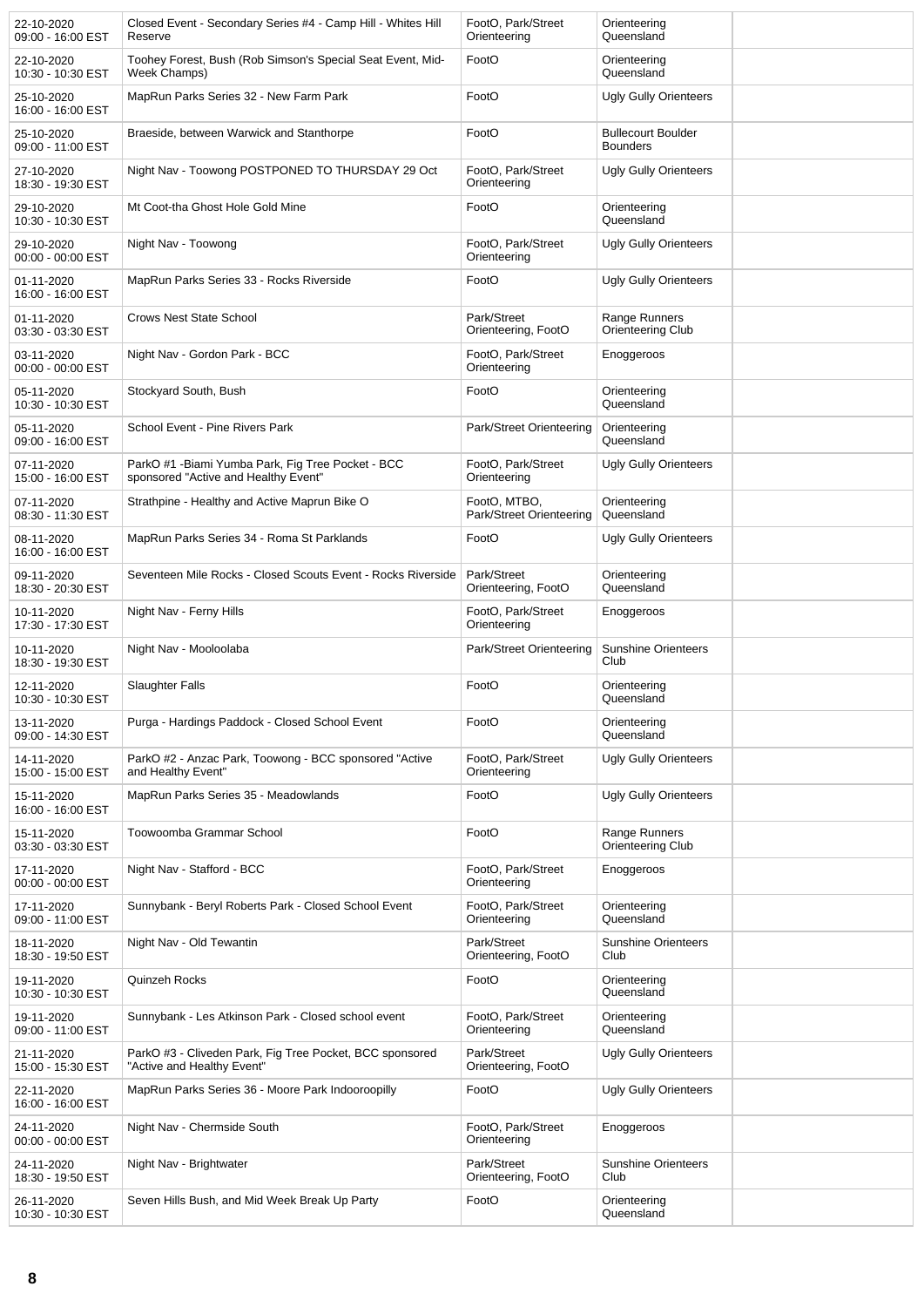| 22-10-2020<br>09:00 - 16:00 EST | Closed Event - Secondary Series #4 - Camp Hill - Whites Hill<br>Reserve                    | FootO, Park/Street<br>Orienteering       | Orienteering<br>Queensland                   |  |
|---------------------------------|--------------------------------------------------------------------------------------------|------------------------------------------|----------------------------------------------|--|
| 22-10-2020<br>10:30 - 10:30 EST | Toohey Forest, Bush (Rob Simson's Special Seat Event, Mid-<br>Week Champs)                 | FootO                                    | Orienteering<br>Queensland                   |  |
| 25-10-2020<br>16:00 - 16:00 EST | MapRun Parks Series 32 - New Farm Park                                                     | FootO                                    | <b>Ugly Gully Orienteers</b>                 |  |
| 25-10-2020<br>09:00 - 11:00 EST | Braeside, between Warwick and Stanthorpe                                                   | FootO                                    | <b>Bullecourt Boulder</b><br><b>Bounders</b> |  |
| 27-10-2020<br>18:30 - 19:30 EST | Night Nav - Toowong POSTPONED TO THURSDAY 29 Oct                                           | FootO, Park/Street<br>Orienteering       | <b>Ugly Gully Orienteers</b>                 |  |
| 29-10-2020<br>10:30 - 10:30 EST | Mt Coot-tha Ghost Hole Gold Mine                                                           | FootO                                    | Orienteering<br>Queensland                   |  |
| 29-10-2020<br>00:00 - 00:00 EST | Night Nav - Toowong                                                                        | FootO, Park/Street<br>Orienteering       | <b>Ugly Gully Orienteers</b>                 |  |
| 01-11-2020<br>16:00 - 16:00 EST | MapRun Parks Series 33 - Rocks Riverside                                                   | FootO                                    | <b>Ugly Gully Orienteers</b>                 |  |
| 01-11-2020<br>03:30 - 03:30 EST | <b>Crows Nest State School</b>                                                             | Park/Street<br>Orienteering, FootO       | Range Runners<br>Orienteering Club           |  |
| 03-11-2020<br>00:00 - 00:00 EST | Night Nav - Gordon Park - BCC                                                              | FootO, Park/Street<br>Orienteering       | Enoggeroos                                   |  |
| 05-11-2020<br>10:30 - 10:30 EST | Stockyard South, Bush                                                                      | FootO                                    | Orienteering<br>Queensland                   |  |
| 05-11-2020<br>09:00 - 16:00 EST | School Event - Pine Rivers Park                                                            | Park/Street Orienteering                 | Orienteering<br>Queensland                   |  |
| 07-11-2020<br>15:00 - 16:00 EST | ParkO #1 - Biami Yumba Park, Fig Tree Pocket - BCC<br>sponsored "Active and Healthy Event" | FootO, Park/Street<br>Orienteering       | <b>Ugly Gully Orienteers</b>                 |  |
| 07-11-2020<br>08:30 - 11:30 EST | Strathpine - Healthy and Active Maprun Bike O                                              | FootO, MTBO,<br>Park/Street Orienteering | Orienteering<br>Queensland                   |  |
| 08-11-2020<br>16:00 - 16:00 EST | MapRun Parks Series 34 - Roma St Parklands                                                 | FootO                                    | <b>Ugly Gully Orienteers</b>                 |  |
| 09-11-2020<br>18:30 - 20:30 EST | Seventeen Mile Rocks - Closed Scouts Event - Rocks Riverside                               | Park/Street<br>Orienteering, FootO       | Orienteering<br>Queensland                   |  |
| 10-11-2020<br>17:30 - 17:30 EST | Night Nav - Ferny Hills                                                                    | FootO, Park/Street<br>Orienteering       | Enoggeroos                                   |  |
| 10-11-2020<br>18:30 - 19:30 EST | Night Nav - Mooloolaba                                                                     | Park/Street Orienteering                 | <b>Sunshine Orienteers</b><br>Club           |  |
| 12-11-2020<br>10:30 - 10:30 EST | Slaughter Falls                                                                            | FootO                                    | Orienteering<br>Queensland                   |  |
| 13-11-2020<br>09:00 - 14:30 EST | Purga - Hardings Paddock - Closed School Event                                             | FootO                                    | Orienteering<br>Queensland                   |  |
| 14-11-2020<br>15:00 - 15:00 EST | ParkO #2 - Anzac Park, Toowong - BCC sponsored "Active<br>and Healthy Event"               | FootO, Park/Street<br>Orienteering       | <b>Ugly Gully Orienteers</b>                 |  |
| 15-11-2020<br>16:00 - 16:00 EST | MapRun Parks Series 35 - Meadowlands                                                       | FootO                                    | <b>Ugly Gully Orienteers</b>                 |  |
| 15-11-2020<br>03:30 - 03:30 EST | Toowoomba Grammar School                                                                   | FootO                                    | Range Runners<br>Orienteering Club           |  |
| 17-11-2020<br>00:00 - 00:00 EST | Night Nav - Stafford - BCC                                                                 | FootO, Park/Street<br>Orienteering       | Enoggeroos                                   |  |
| 17-11-2020<br>09:00 - 11:00 EST | Sunnybank - Beryl Roberts Park - Closed School Event                                       | FootO, Park/Street<br>Orienteering       | Orienteering<br>Queensland                   |  |
| 18-11-2020<br>18:30 - 19:50 EST | Night Nav - Old Tewantin                                                                   | Park/Street<br>Orienteering, FootO       | <b>Sunshine Orienteers</b><br>Club           |  |
| 19-11-2020<br>10:30 - 10:30 EST | Quinzeh Rocks                                                                              | FootO                                    | Orienteering<br>Queensland                   |  |
| 19-11-2020<br>09:00 - 11:00 EST | Sunnybank - Les Atkinson Park - Closed school event                                        | FootO, Park/Street<br>Orienteering       | Orienteering<br>Queensland                   |  |
| 21-11-2020<br>15:00 - 15:30 EST | ParkO #3 - Cliveden Park, Fig Tree Pocket, BCC sponsored<br>"Active and Healthy Event"     | Park/Street<br>Orienteering, FootO       | <b>Ugly Gully Orienteers</b>                 |  |
| 22-11-2020<br>16:00 - 16:00 EST | MapRun Parks Series 36 - Moore Park Indooroopilly                                          | FootO                                    | <b>Ugly Gully Orienteers</b>                 |  |
| 24-11-2020<br>00:00 - 00:00 EST | Night Nav - Chermside South                                                                | FootO, Park/Street<br>Orienteering       | Enoggeroos                                   |  |
| 24-11-2020<br>18:30 - 19:50 EST | Night Nav - Brightwater                                                                    | Park/Street<br>Orienteering, FootO       | <b>Sunshine Orienteers</b><br>Club           |  |
| 26-11-2020<br>10:30 - 10:30 EST | Seven Hills Bush, and Mid Week Break Up Party                                              | FootO                                    | Orienteering<br>Queensland                   |  |